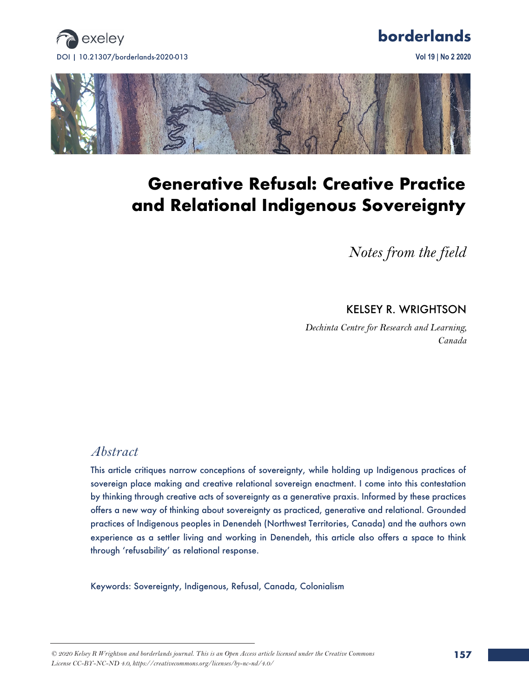





# **Generative Refusal: Creative Practice and Relational Indigenous Sovereignty**

*Notes from the field*

### KELSEY R. WRIGHTSON

*Dechinta Centre for Research and Learning, Canada*

# *Abstract*

This article critiques narrow conceptions of sovereignty, while holding up Indigenous practices of sovereign place making and creative relational sovereign enactment. I come into this contestation by thinking through creative acts of sovereignty as a generative praxis. Informed by these practices offers a new way of thinking about sovereignty as practiced, generative and relational. Grounded practices of Indigenous peoples in Denendeh (Northwest Territories, Canada) and the authors own experience as a settler living and working in Denendeh, this article also offers a space to think through 'refusability' as relational response.

Keywords: Sovereignty, Indigenous, Refusal, Canada, Colonialism

*<sup>© 2020</sup> Kelsey R Wrightson and borderlands journal. This is an Open Access article licensed under the Creative Commons License CC-BY-NC-ND 4.0, https://creativecommons.org/licenses/by-nc-nd/4.0/*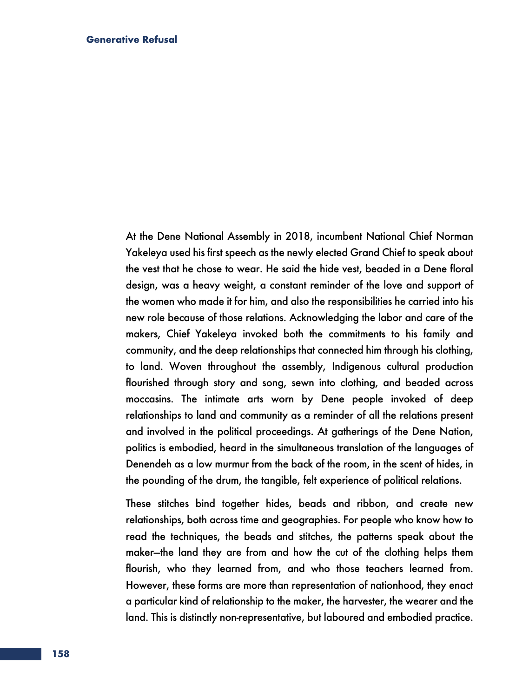At the Dene National Assembly in 2018, incumbent National Chief Norman Yakeleya used his first speech as the newly elected Grand Chief to speak about the vest that he chose to wear. He said the hide vest, beaded in a Dene floral design, was a heavy weight, a constant reminder of the love and support of the women who made it for him, and also the responsibilities he carried into his new role because of those relations. Acknowledging the labor and care of the makers, Chief Yakeleya invoked both the commitments to his family and community, and the deep relationships that connected him through his clothing, to land. Woven throughout the assembly, Indigenous cultural production flourished through story and song, sewn into clothing, and beaded across moccasins. The intimate arts worn by Dene people invoked of deep relationships to land and community as a reminder of all the relations present and involved in the political proceedings. At gatherings of the Dene Nation, politics is embodied, heard in the simultaneous translation of the languages of Denendeh as a low murmur from the back of the room, in the scent of hides, in the pounding of the drum, the tangible, felt experience of political relations.

These stitches bind together hides, beads and ribbon, and create new relationships, both across time and geographies. For people who know how to read the techniques, the beads and stitches, the patterns speak about the maker—the land they are from and how the cut of the clothing helps them flourish, who they learned from, and who those teachers learned from. However, these forms are more than representation of nationhood, they enact a particular kind of relationship to the maker, the harvester, the wearer and the land. This is distinctly non-representative, but laboured and embodied practice.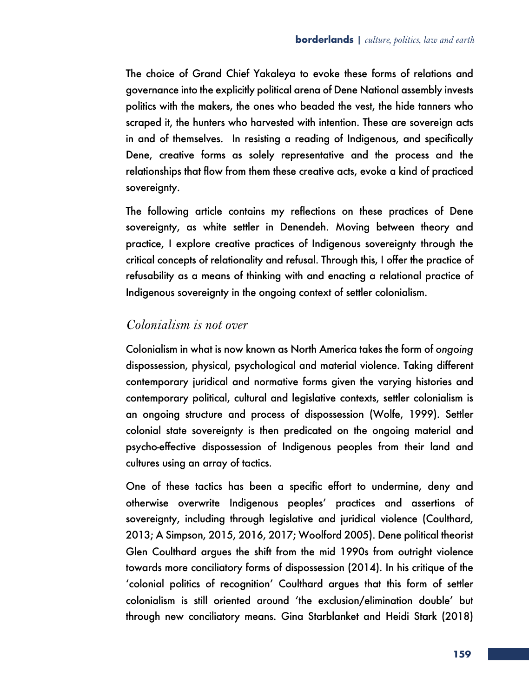The choice of Grand Chief Yakaleya to evoke these forms of relations and governance into the explicitly political arena of Dene National assembly invests politics with the makers, the ones who beaded the vest, the hide tanners who scraped it, the hunters who harvested with intention. These are sovereign acts in and of themselves. In resisting a reading of Indigenous, and specifically Dene, creative forms as solely representative and the process and the relationships that flow from them these creative acts, evoke a kind of practiced sovereignty.

The following article contains my reflections on these practices of Dene sovereignty, as white settler in Denendeh. Moving between theory and practice, I explore creative practices of Indigenous sovereignty through the critical concepts of relationality and refusal. Through this, I offer the practice of refusability as a means of thinking with and enacting a relational practice of Indigenous sovereignty in the ongoing context of settler colonialism.

### *Colonialism is not over*

Colonialism in what is now known as North America takes the form of *ongoing*  dispossession, physical, psychological and material violence. Taking different contemporary juridical and normative forms given the varying histories and contemporary political, cultural and legislative contexts, settler colonialism is an ongoing structure and process of dispossession (Wolfe, 1999). Settler colonial state sovereignty is then predicated on the ongoing material and psycho-effective dispossession of Indigenous peoples from their land and cultures using an array of tactics.

One of these tactics has been a specific effort to undermine, deny and otherwise overwrite Indigenous peoples' practices and assertions of sovereignty, including through legislative and juridical violence (Coulthard, 2013; A Simpson, 2015, 2016, 2017; Woolford 2005). Dene political theorist Glen Coulthard argues the shift from the mid 1990s from outright violence towards more conciliatory forms of dispossession (2014). In his critique of the 'colonial politics of recognition' Coulthard argues that this form of settler colonialism is still oriented around 'the exclusion/elimination double' but through new conciliatory means. Gina Starblanket and Heidi Stark (2018)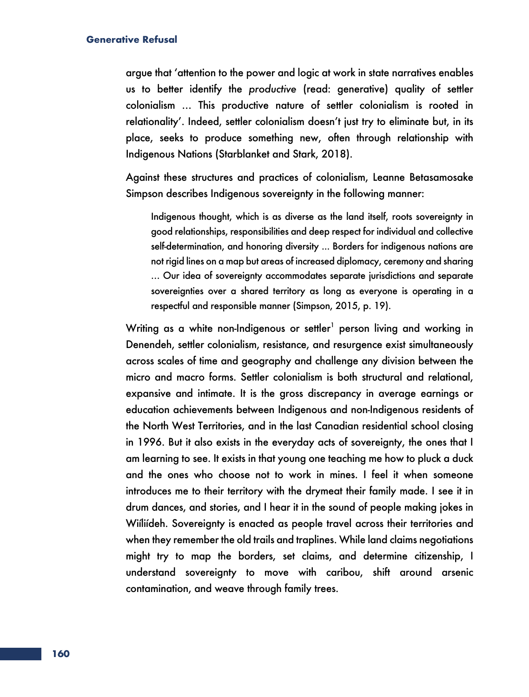argue that 'attention to the power and logic at work in state narratives enables us to better identify the *productive* (read: generative) quality of settler colonialism … This productive nature of settler colonialism is rooted in relationality'. Indeed, settler colonialism doesn't just try to eliminate but, in its place, seeks to produce something new, often through relationship with Indigenous Nations (Starblanket and Stark, 2018).

Against these structures and practices of colonialism, Leanne Betasamosake Simpson describes Indigenous sovereignty in the following manner:

Indigenous thought, which is as diverse as the land itself, roots sovereignty in good relationships, responsibilities and deep respect for individual and collective self-determination, and honoring diversity ... Borders for indigenous nations are not rigid lines on a map but areas of increased diplomacy, ceremony and sharing … Our idea of sovereignty accommodates separate jurisdictions and separate sovereignties over a shared territory as long as everyone is operating in a respectful and responsible manner (Simpson, 2015, p. 19).

Writing as a white non-Indigenous or settler<sup>1</sup> person living and working in Denendeh, settler colonialism, resistance, and resurgence exist simultaneously across scales of time and geography and challenge any division between the micro and macro forms. Settler colonialism is both structural and relational, expansive and intimate. It is the gross discrepancy in average earnings or education achievements between Indigenous and non-Indigenous residents of the North West Territories, and in the last Canadian residential school closing in 1996. But it also exists in the everyday acts of sovereignty, the ones that I am learning to see. It exists in that young one teaching me how to pluck a duck and the ones who choose not to work in mines. I feel it when someone introduces me to their territory with the drymeat their family made. I see it in drum dances, and stories, and I hear it in the sound of people making jokes in Wiíliídeh. Sovereignty is enacted as people travel across their territories and when they remember the old trails and traplines. While land claims negotiations might try to map the borders, set claims, and determine citizenship, I understand sovereignty to move with caribou, shift around arsenic contamination, and weave through family trees.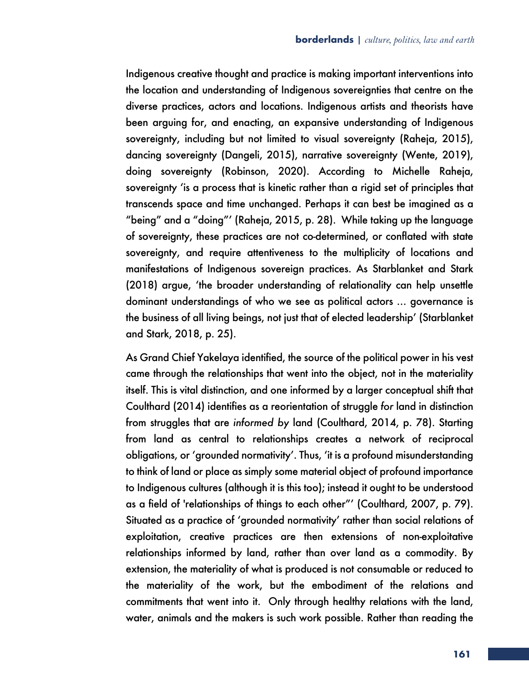Indigenous creative thought and practice is making important interventions into the location and understanding of Indigenous sovereignties that centre on the diverse practices, actors and locations. Indigenous artists and theorists have been arguing for, and enacting, an expansive understanding of Indigenous sovereignty, including but not limited to visual sovereignty (Raheja, 2015), dancing sovereignty (Dangeli, 2015), narrative sovereignty (Wente, 2019), doing sovereignty (Robinson, 2020). According to Michelle Raheja, sovereignty 'is a process that is kinetic rather than a rigid set of principles that transcends space and time unchanged. Perhaps it can best be imagined as a "being" and a "doing"' (Raheja, 2015, p. 28). While taking up the language of sovereignty, these practices are not co-determined, or conflated with state sovereignty, and require attentiveness to the multiplicity of locations and manifestations of Indigenous sovereign practices. As Starblanket and Stark (2018) argue, 'the broader understanding of relationality can help unsettle dominant understandings of who we see as political actors … governance is the business of all living beings, not just that of elected leadership' (Starblanket and Stark, 2018, p. 25).

As Grand Chief Yakelaya identified, the source of the political power in his vest came through the relationships that went into the object, not in the materiality itself. This is vital distinction, and one informed by a larger conceptual shift that Coulthard (2014) identifies as a reorientation of struggle *for* land in distinction from struggles that are *informed by* land (Coulthard, 2014, p. 78). Starting from land as central to relationships creates a network of reciprocal obligations, or 'grounded normativity'. Thus, 'it is a profound misunderstanding to think of land or place as simply some material object of profound importance to Indigenous cultures (although it is this too); instead it ought to be understood as a field of 'relationships of things to each other"' (Coulthard, 2007, p. 79). Situated as a practice of 'grounded normativity' rather than social relations of exploitation, creative practices are then extensions of non-exploitative relationships informed by land, rather than over land as a commodity. By extension, the materiality of what is produced is not consumable or reduced to the materiality of the work, but the embodiment of the relations and commitments that went into it. Only through healthy relations with the land, water, animals and the makers is such work possible. Rather than reading the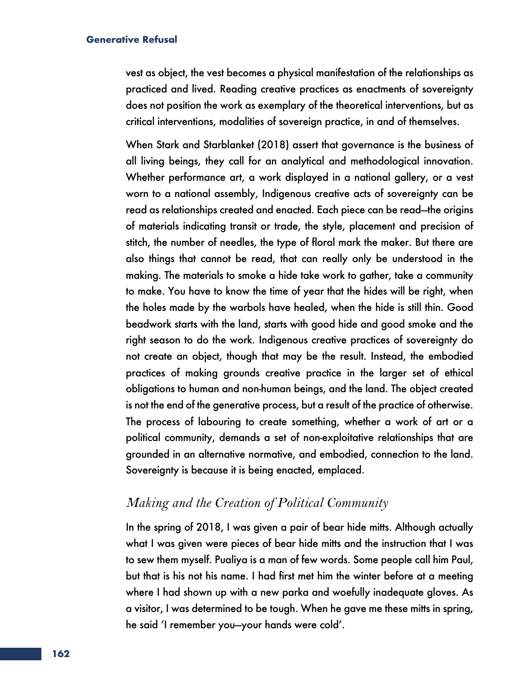vest as object, the vest becomes a physical manifestation of the relationships as practiced and lived. Reading creative practices as enactments of sovereignty does not position the work as exemplary of the theoretical interventions, but as critical interventions, modalities of sovereign practice, in and of themselves.

When Stark and Starblanket (2018) assert that governance is the business of all living beings, they call for an analytical and methodological innovation. Whether performance art, a work displayed in a national gallery, or a vest worn to a national assembly, Indigenous creative acts of sovereignty can be read as relationships created and enacted. Each piece can be read—the origins of materials indicating transit or trade, the style, placement and precision of stitch, the number of needles, the type of floral mark the maker. But there are also things that cannot be read, that can really only be understood in the making. The materials to smoke a hide take work to gather, take a community to make. You have to know the time of year that the hides will be right, when the holes made by the warbols have healed, when the hide is still thin. Good beadwork starts with the land, starts with good hide and good smoke and the right season to do the work. Indigenous creative practices of sovereignty do not create an object, though that may be the result. Instead, the embodied practices of making grounds creative practice in the larger set of ethical obligations to human and non-human beings, and the land. The object created is not the end of the generative process, but a result of the practice of otherwise. The process of labouring to create something, whether a work of art or a political community, demands a set of non-exploitative relationships that are grounded in an alternative normative, and embodied, connection to the land. Sovereignty is because it is being enacted, emplaced.

## *Making and the Creation of Political Community*

In the spring of 2018, I was given a pair of bear hide mitts. Although actually what I was given were pieces of bear hide mitts and the instruction that I was to sew them myself. Pualiya is a man of few words. Some people call him Paul, but that is his not his name. I had first met him the winter before at a meeting where I had shown up with a new parka and woefully inadequate gloves. As a visitor, I was determined to be tough. When he gave me these mitts in spring, he said 'I remember you—your hands were cold'.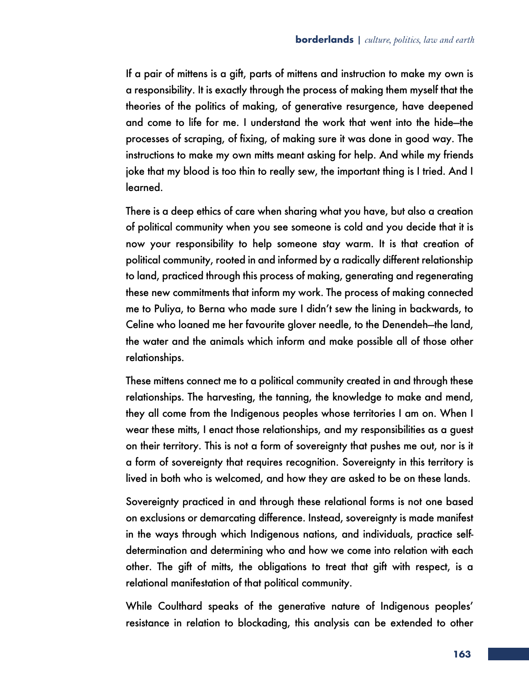If a pair of mittens is a gift, parts of mittens and instruction to make my own is a responsibility. It is exactly through the process of making them myself that the theories of the politics of making, of generative resurgence, have deepened and come to life for me. I understand the work that went into the hide—the processes of scraping, of fixing, of making sure it was done in good way. The instructions to make my own mitts meant asking for help. And while my friends joke that my blood is too thin to really sew, the important thing is I tried. And I learned.

There is a deep ethics of care when sharing what you have, but also a creation of political community when you see someone is cold and you decide that it is now your responsibility to help someone stay warm. It is that creation of political community, rooted in and informed by a radically different relationship to land, practiced through this process of making, generating and regenerating these new commitments that inform my work. The process of making connected me to Puliya, to Berna who made sure I didn't sew the lining in backwards, to Celine who loaned me her favourite glover needle, to the Denendeh—the land, the water and the animals which inform and make possible all of those other relationships.

These mittens connect me to a political community created in and through these relationships. The harvesting, the tanning, the knowledge to make and mend, they all come from the Indigenous peoples whose territories I am on. When I wear these mitts, I enact those relationships, and my responsibilities as a guest on their territory. This is not a form of sovereignty that pushes me out, nor is it a form of sovereignty that requires recognition. Sovereignty in this territory is lived in both who is welcomed, and how they are asked to be on these lands.

Sovereignty practiced in and through these relational forms is not one based on exclusions or demarcating difference. Instead, sovereignty is made manifest in the ways through which Indigenous nations, and individuals, practice selfdetermination and determining who and how we come into relation with each other. The gift of mitts, the obligations to treat that gift with respect, is a relational manifestation of that political community.

While Coulthard speaks of the generative nature of Indigenous peoples' resistance in relation to blockading, this analysis can be extended to other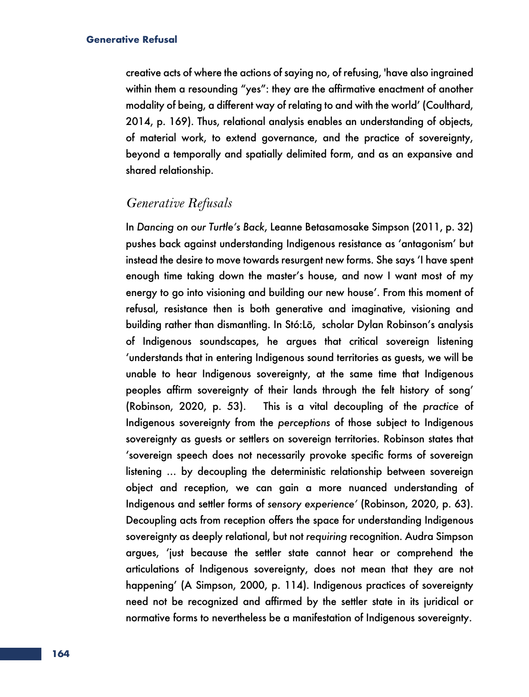creative acts of where the actions of saying no, of refusing, 'have also ingrained within them a resounding "yes": they are the affirmative enactment of another modality of being, a different way of relating to and with the world' (Coulthard, 2014, p. 169). Thus, relational analysis enables an understanding of objects, of material work, to extend governance, and the practice of sovereignty, beyond a temporally and spatially delimited form, and as an expansive and shared relationship.

### *Generative Refusals*

In *Dancing on our Turtle's Back*, Leanne Betasamosake Simpson (2011, p. 32) pushes back against understanding Indigenous resistance as 'antagonism' but instead the desire to move towards resurgent new forms. She says 'I have spent enough time taking down the master's house, and now I want most of my energy to go into visioning and building our new house'. From this moment of refusal, resistance then is both generative and imaginative, visioning and building rather than dismantling. In Stó:Lō, scholar Dylan Robinson's analysis of Indigenous soundscapes, he argues that critical sovereign listening 'understands that in entering Indigenous sound territories as guests, we will be unable to hear Indigenous sovereignty, at the same time that Indigenous peoples affirm sovereignty of their lands through the felt history of song' (Robinson, 2020, p. 53). This is a vital decoupling of the *practice* of Indigenous sovereignty from the *perceptions* of those subject to Indigenous sovereignty as guests or settlers on sovereign territories. Robinson states that 'sovereign speech does not necessarily provoke specific forms of sovereign listening … by decoupling the deterministic relationship between sovereign object and reception, we can gain a more nuanced understanding of Indigenous and settler forms of *sensory experience'* (Robinson, 2020, p. 63). Decoupling acts from reception offers the space for understanding Indigenous sovereignty as deeply relational, but not *requiring* recognition. Audra Simpson argues, 'just because the settler state cannot hear or comprehend the articulations of Indigenous sovereignty, does not mean that they are not happening' (A Simpson, 2000, p. 114). Indigenous practices of sovereignty need not be recognized and affirmed by the settler state in its juridical or normative forms to nevertheless be a manifestation of Indigenous sovereignty.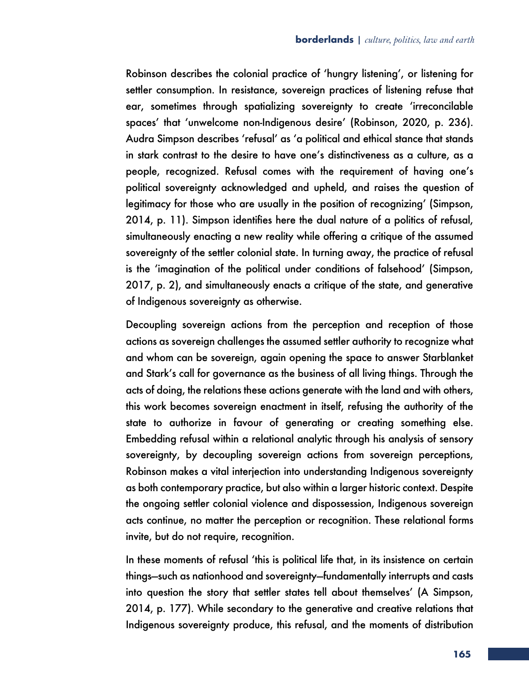Robinson describes the colonial practice of 'hungry listening', or listening for settler consumption. In resistance, sovereign practices of listening refuse that ear, sometimes through spatializing sovereignty to create 'irreconcilable spaces' that 'unwelcome non-Indigenous desire' (Robinson, 2020, p. 236). Audra Simpson describes 'refusal' as 'a political and ethical stance that stands in stark contrast to the desire to have one's distinctiveness as a culture, as a people, recognized. Refusal comes with the requirement of having one's political sovereignty acknowledged and upheld, and raises the question of legitimacy for those who are usually in the position of recognizing' (Simpson, 2014, p. 11). Simpson identifies here the dual nature of a politics of refusal, simultaneously enacting a new reality while offering a critique of the assumed sovereignty of the settler colonial state. In turning away, the practice of refusal is the 'imagination of the political under conditions of falsehood' (Simpson, 2017, p. 2), and simultaneously enacts a critique of the state, and generative of Indigenous sovereignty as otherwise.

Decoupling sovereign actions from the perception and reception of those actions as sovereign challenges the assumed settler authority to recognize what and whom can be sovereign, again opening the space to answer Starblanket and Stark's call for governance as the business of all living things. Through the acts of doing, the relations these actions generate with the land and with others, this work becomes sovereign enactment in itself, refusing the authority of the state to authorize in favour of generating or creating something else. Embedding refusal within a relational analytic through his analysis of sensory sovereignty, by decoupling sovereign actions from sovereign perceptions, Robinson makes a vital interjection into understanding Indigenous sovereignty as both contemporary practice, but also within a larger historic context. Despite the ongoing settler colonial violence and dispossession, Indigenous sovereign acts continue, no matter the perception or recognition. These relational forms invite, but do not require, recognition.

In these moments of refusal 'this is political life that, in its insistence on certain things—such as nationhood and sovereignty—fundamentally interrupts and casts into question the story that settler states tell about themselves' (A Simpson, 2014, p. 177). While secondary to the generative and creative relations that Indigenous sovereignty produce, this refusal, and the moments of distribution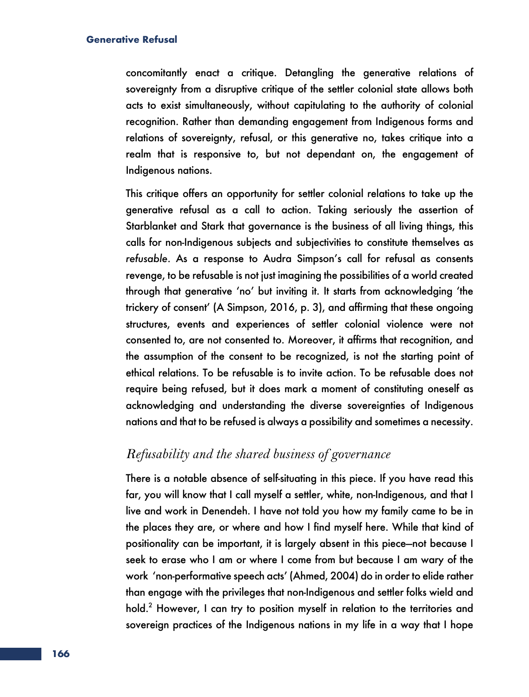concomitantly enact a critique. Detangling the generative relations of sovereignty from a disruptive critique of the settler colonial state allows both acts to exist simultaneously, without capitulating to the authority of colonial recognition. Rather than demanding engagement from Indigenous forms and relations of sovereignty, refusal, or this generative no, takes critique into a realm that is responsive to, but not dependant on, the engagement of Indigenous nations.

This critique offers an opportunity for settler colonial relations to take up the generative refusal as a call to action. Taking seriously the assertion of Starblanket and Stark that governance is the business of all living things, this calls for non-Indigenous subjects and subjectivities to constitute themselves as *refusable*. As a response to Audra Simpson's call for refusal as consents revenge, to be refusable is not just imagining the possibilities of a world created through that generative 'no' but inviting it. It starts from acknowledging 'the trickery of consent' (A Simpson, 2016, p. 3), and affirming that these ongoing structures, events and experiences of settler colonial violence were not consented to, are not consented to. Moreover, it affirms that recognition, and the assumption of the consent to be recognized, is not the starting point of ethical relations. To be refusable is to invite action. To be refusable does not require being refused, but it does mark a moment of constituting oneself as acknowledging and understanding the diverse sovereignties of Indigenous nations and that to be refused is always a possibility and sometimes a necessity.

# *Refusability and the shared business of governance*

There is a notable absence of self-situating in this piece. If you have read this far, you will know that I call myself a settler, white, non-Indigenous, and that I live and work in Denendeh. I have not told you how my family came to be in the places they are, or where and how I find myself here. While that kind of positionality can be important, it is largely absent in this piece—not because I seek to erase who I am or where I come from but because I am wary of the work 'non-performative speech acts' (Ahmed, 2004) do in order to elide rather than engage with the privileges that non-Indigenous and settler folks wield and hold. <sup>2</sup> However, I can try to position myself in relation to the territories and sovereign practices of the Indigenous nations in my life in a way that I hope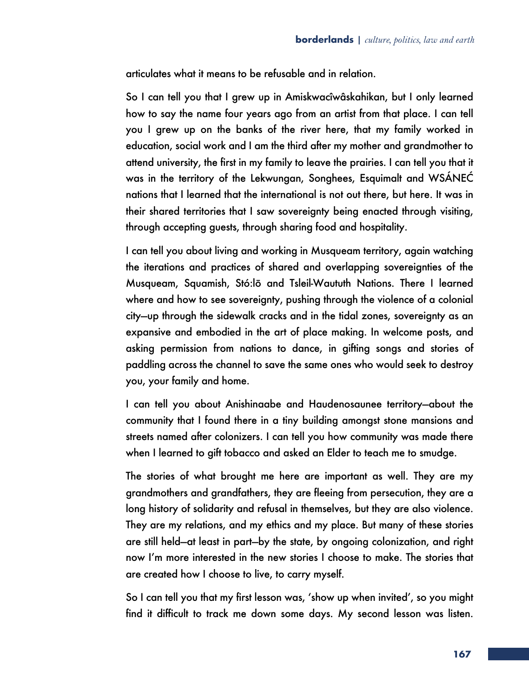articulates what it means to be refusable and in relation.

So I can tell you that I grew up in Amiskwacîwâskahikan, but I only learned how to say the name four years ago from an artist from that place. I can tell you I grew up on the banks of the river here, that my family worked in education, social work and I am the third after my mother and grandmother to attend university, the first in my family to leave the prairies. I can tell you that it was in the territory of the Lekwungan, Songhees, Esquimalt and WSÁNEĆ nations that I learned that the international is not out there, but here. It was in their shared territories that I saw sovereignty being enacted through visiting, through accepting guests, through sharing food and hospitality.

I can tell you about living and working in Musqueam territory, again watching the iterations and practices of shared and overlapping sovereignties of the Musqueam, Squamish, Stó:lō and Tsleil-Waututh Nations. There I learned where and how to see sovereignty, pushing through the violence of a colonial city—up through the sidewalk cracks and in the tidal zones, sovereignty as an expansive and embodied in the art of place making. In welcome posts, and asking permission from nations to dance, in gifting songs and stories of paddling across the channel to save the same ones who would seek to destroy you, your family and home.

I can tell you about Anishinaabe and Haudenosaunee territory—about the community that I found there in a tiny building amongst stone mansions and streets named after colonizers. I can tell you how community was made there when I learned to gift tobacco and asked an Elder to teach me to smudge.

The stories of what brought me here are important as well. They are my grandmothers and grandfathers, they are fleeing from persecution, they are a long history of solidarity and refusal in themselves, but they are also violence. They are my relations, and my ethics and my place. But many of these stories are still held—at least in part—by the state, by ongoing colonization, and right now I'm more interested in the new stories I choose to make. The stories that are created how I choose to live, to carry myself.

So I can tell you that my first lesson was, 'show up when invited', so you might find it difficult to track me down some days. My second lesson was listen.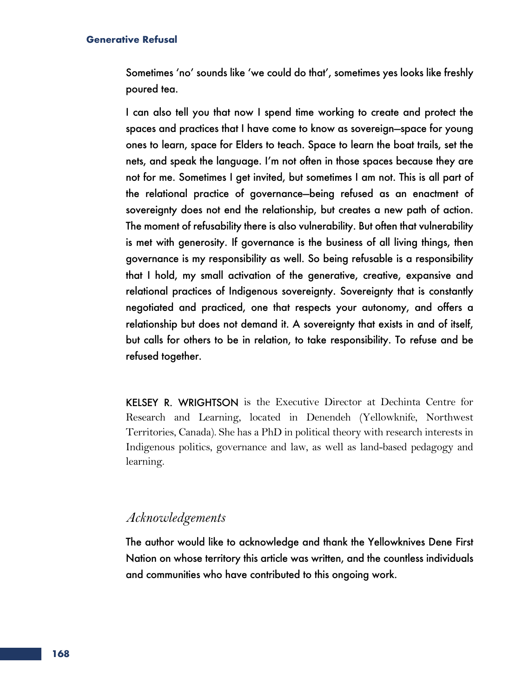Sometimes 'no' sounds like 'we could do that', sometimes yes looks like freshly poured tea.

I can also tell you that now I spend time working to create and protect the spaces and practices that I have come to know as sovereign—space for young ones to learn, space for Elders to teach. Space to learn the boat trails, set the nets, and speak the language. I'm not often in those spaces because they are not for me. Sometimes I get invited, but sometimes I am not. This is all part of the relational practice of governance—being refused as an enactment of sovereignty does not end the relationship, but creates a new path of action. The moment of refusability there is also vulnerability. But often that vulnerability is met with generosity. If governance is the business of all living things, then governance is my responsibility as well. So being refusable is a responsibility that I hold, my small activation of the generative, creative, expansive and relational practices of Indigenous sovereignty. Sovereignty that is constantly negotiated and practiced, one that respects your autonomy, and offers a relationship but does not demand it. A sovereignty that exists in and of itself, but calls for others to be in relation, to take responsibility. To refuse and be refused together.

KELSEY R. WRIGHTSON is the Executive Director at Dechinta Centre for Research and Learning, located in Denendeh (Yellowknife, Northwest Territories, Canada). She has a PhD in political theory with research interests in Indigenous politics, governance and law, as well as land-based pedagogy and learning.

### *Acknowledgements*

The author would like to acknowledge and thank the Yellowknives Dene First Nation on whose territory this article was written, and the countless individuals and communities who have contributed to this ongoing work.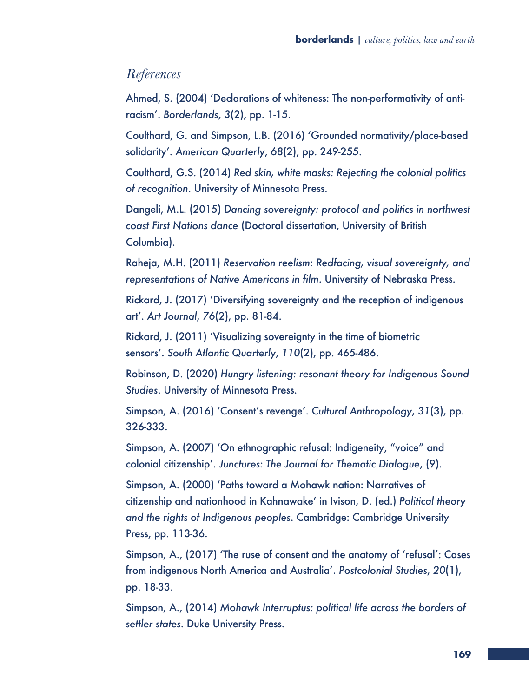# *References*

Ahmed, S. (2004) 'Declarations of whiteness: The non-performativity of antiracism'. *Borderlands*, *3*(2), pp. 1-15.

Coulthard, G. and Simpson, L.B. (2016) 'Grounded normativity/place-based solidarity'. *American Quarterly*, *68*(2), pp. 249-255.

Coulthard, G.S. (2014) *Red skin, white masks: Rejecting the colonial politics of recognition*. University of Minnesota Press.

Dangeli, M.L. (2015) *Dancing sovereignty: protocol and politics in northwest coast First Nations dance* (Doctoral dissertation, University of British Columbia).

Raheja, M.H. (2011) *Reservation reelism: Redfacing, visual sovereignty, and representations of Native Americans in film*. University of Nebraska Press.

Rickard, J. (2017) 'Diversifying sovereignty and the reception of indigenous art'. *Art Journal*, *76*(2), pp. 81-84.

Rickard, J. (2011) 'Visualizing sovereignty in the time of biometric sensors'. *South Atlantic Quarterly*, *110*(2), pp. 465-486.

Robinson, D. (2020) *Hungry listening: resonant theory for Indigenous Sound Studies*. University of Minnesota Press.

Simpson, A. (2016) 'Consent's revenge'. *Cultural Anthropology*, *31*(3), pp. 326-333.

Simpson, A. (2007) 'On ethnographic refusal: Indigeneity, "voice" and colonial citizenship'. *Junctures: The Journal for Thematic Dialogue*, (9).

Simpson, A. (2000) 'Paths toward a Mohawk nation: Narratives of citizenship and nationhood in Kahnawake' in Ivison, D. (ed.) *Political theory and the rights of Indigenous peoples*. Cambridge: Cambridge University Press, pp. 113-36.

Simpson, A., (2017) 'The ruse of consent and the anatomy of 'refusal': Cases from indigenous North America and Australia'. *Postcolonial Studies*, *20*(1), pp. 18-33.

Simpson, A., (2014) *Mohawk Interruptus: political life across the borders of settler states*. Duke University Press.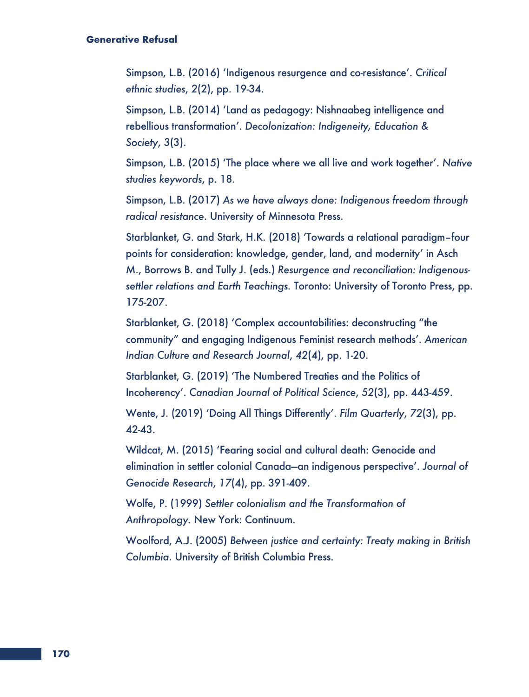Simpson, L.B. (2016) 'Indigenous resurgence and co-resistance'. *Critical ethnic studies*, *2*(2), pp. 19-34.

Simpson, L.B. (2014) 'Land as pedagogy: Nishnaabeg intelligence and rebellious transformation'. *Decolonization: Indigeneity, Education & Society*, *3*(3).

Simpson, L.B. (2015) 'The place where we all live and work together'. *Native studies keywords*, p. 18.

Simpson, L.B. (2017) *As we have always done: Indigenous freedom through radical resistance*. University of Minnesota Press.

Starblanket, G. and Stark, H.K. (2018) 'Towards a relational paradigm–four points for consideration: knowledge, gender, land, and modernity' in Asch M., Borrows B. and Tully J. (eds.) *Resurgence and reconciliation: Indigenoussettler relations and Earth Teachings.* Toronto: University of Toronto Press, pp. 175-207.

Starblanket, G. (2018) 'Complex accountabilities: deconstructing "the community" and engaging Indigenous Feminist research methods'. *American Indian Culture and Research Journal*, *42*(4), pp. 1-20.

Starblanket, G. (2019) 'The Numbered Treaties and the Politics of Incoherency'. *Canadian Journal of Political Science*, *52*(3), pp. 443-459.

Wente, J. (2019) 'Doing All Things Differently'. *Film Quarterly*, *72*(3), pp. 42-43.

Wildcat, M. (2015) 'Fearing social and cultural death: Genocide and elimination in settler colonial Canada—an indigenous perspective'. *Journal of Genocide Research*, *17*(4), pp. 391-409.

Wolfe, P. (1999) *Settler colonialism and the Transformation of Anthropology.* New York: Continuum.

Woolford, A.J. (2005) *Between justice and certainty: Treaty making in British Columbia*. University of British Columbia Press.